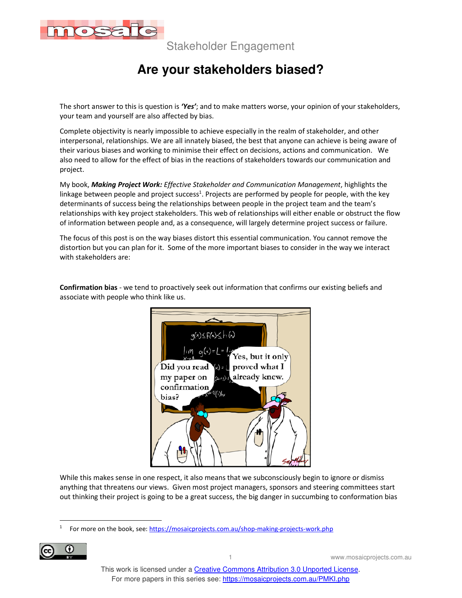

# **Are your stakeholders biased?**

The short answer to this is question is *'Yes'*; and to make matters worse, your opinion of your stakeholders, your team and yourself are also affected by bias.

Complete objectivity is nearly impossible to achieve especially in the realm of stakeholder, and other interpersonal, relationships. We are all innately biased, the best that anyone can achieve is being aware of their various biases and working to minimise their effect on decisions, actions and communication. We also need to allow for the effect of bias in the reactions of stakeholders towards our communication and project.

My book, *Making Project Work: Effective Stakeholder and Communication Management*, highlights the linkage between people and project success<sup>1</sup>. Projects are performed by people for people, with the key determinants of success being the relationships between people in the project team and the team's relationships with key project stakeholders. This web of relationships will either enable or obstruct the flow of information between people and, as a consequence, will largely determine project success or failure.

The focus of this post is on the way biases distort this essential communication. You cannot remove the distortion but you can plan for it. Some of the more important biases to consider in the way we interact with stakeholders are:



**Confirmation bias** - we tend to proactively seek out information that confirms our existing beliefs and associate with people who think like us.

While this makes sense in one respect, it also means that we subconsciously begin to ignore or dismiss anything that threatens our views. Given most project managers, sponsors and steering committees start out thinking their project is going to be a great success, the big danger in succumbing to conformation bias

<sup>1</sup> For more on the book, see: https://mosaicprojects.com.au/shop-making-projects-work.php

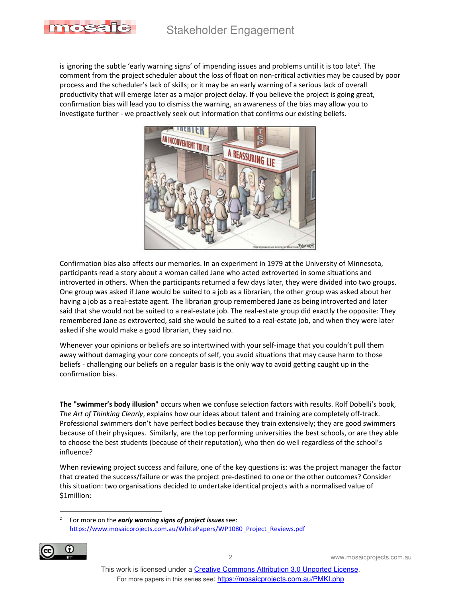

is ignoring the subtle 'early warning signs' of impending issues and problems until it is too late<sup>2</sup>. The comment from the project scheduler about the loss of float on non-critical activities may be caused by poor process and the scheduler's lack of skills; or it may be an early warning of a serious lack of overall productivity that will emerge later as a major project delay. If you believe the project is going great, confirmation bias will lead you to dismiss the warning, an awareness of the bias may allow you to investigate further - we proactively seek out information that confirms our existing beliefs.



Confirmation bias also affects our memories. In an experiment in 1979 at the University of Minnesota, participants read a story about a woman called Jane who acted extroverted in some situations and introverted in others. When the participants returned a few days later, they were divided into two groups. One group was asked if Jane would be suited to a job as a librarian, the other group was asked about her having a job as a real-estate agent. The librarian group remembered Jane as being introverted and later said that she would not be suited to a real-estate job. The real-estate group did exactly the opposite: They remembered Jane as extroverted, said she would be suited to a real-estate job, and when they were later asked if she would make a good librarian, they said no.

Whenever your opinions or beliefs are so intertwined with your self-image that you couldn't pull them away without damaging your core concepts of self, you avoid situations that may cause harm to those beliefs - challenging our beliefs on a regular basis is the only way to avoid getting caught up in the confirmation bias.

**The "swimmer's body illusion"** occurs when we confuse selection factors with results. Rolf Dobelli's book, *The Art of Thinking Clearly*, explains how our ideas about talent and training are completely off-track. Professional swimmers don't have perfect bodies because they train extensively; they are good swimmers because of their physiques. Similarly, are the top performing universities the best schools, or are they able to choose the best students (because of their reputation), who then do well regardless of the school's influence?

When reviewing project success and failure, one of the key questions is: was the project manager the factor that created the success/failure or was the project pre-destined to one or the other outcomes? Consider this situation: two organisations decided to undertake identical projects with a normalised value of \$1million:

2 For more on the *early warning signs of project issues* see: https://www.mosaicprojects.com.au/WhitePapers/WP1080\_Project\_Reviews.pdf

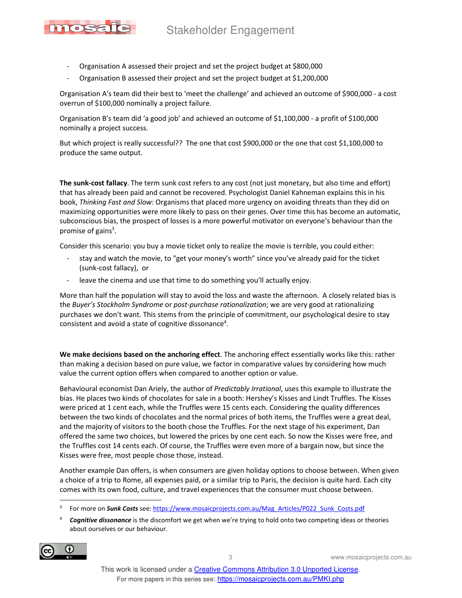- Organisation A assessed their project and set the project budget at \$800,000

mosa

Organisation B assessed their project and set the project budget at \$1,200,000

Organisation A's team did their best to 'meet the challenge' and achieved an outcome of \$900,000 - a cost overrun of \$100,000 nominally a project failure.

Organisation B's team did 'a good job' and achieved an outcome of \$1,100,000 - a profit of \$100,000 nominally a project success.

But which project is really successful?? The one that cost \$900,000 or the one that cost \$1,100,000 to produce the same output.

**The sunk-cost fallacy**. The term sunk cost refers to any cost (not just monetary, but also time and effort) that has already been paid and cannot be recovered. Psychologist Daniel Kahneman explains this in his book, *Thinking Fast and Slow*: Organisms that placed more urgency on avoiding threats than they did on maximizing opportunities were more likely to pass on their genes. Over time this has become an automatic, subconscious bias, the prospect of losses is a more powerful motivator on everyone's behaviour than the promise of gains<sup>3</sup>.

Consider this scenario: you buy a movie ticket only to realize the movie is terrible, you could either:

- stay and watch the movie, to "get your money's worth" since you've already paid for the ticket (sunk-cost fallacy), or
- leave the cinema and use that time to do something you'll actually enjoy.

More than half the population will stay to avoid the loss and waste the afternoon. A closely related bias is the *Buyer's Stockholm Syndrome* or *post-purchase rationalization*; we are very good at rationalizing purchases we don't want. This stems from the principle of commitment, our psychological desire to stay consistent and avoid a state of cognitive dissonance<sup>4</sup>.

**We make decisions based on the anchoring effect**. The anchoring effect essentially works like this: rather than making a decision based on pure value, we factor in comparative values by considering how much value the current option offers when compared to another option or value.

Behavioural economist Dan Ariely, the author of *Predictably Irrational*, uses this example to illustrate the bias. He places two kinds of chocolates for sale in a booth: Hershey's Kisses and Lindt Truffles. The Kisses were priced at 1 cent each, while the Truffles were 15 cents each. Considering the quality differences between the two kinds of chocolates and the normal prices of both items, the Truffles were a great deal, and the majority of visitors to the booth chose the Truffles. For the next stage of his experiment, Dan offered the same two choices, but lowered the prices by one cent each. So now the Kisses were free, and the Truffles cost 14 cents each. Of course, the Truffles were even more of a bargain now, but since the Kisses were free, most people chose those, instead.

Another example Dan offers, is when consumers are given holiday options to choose between. When given a choice of a trip to Rome, all expenses paid, or a similar trip to Paris, the decision is quite hard. Each city comes with its own food, culture, and travel experiences that the consumer must choose between.

<sup>4</sup> *Cognitive dissonance* is the discomfort we get when we're trying to hold onto two competing ideas or theories about ourselves or our behaviour.



<sup>3</sup> For more on **Sunk Costs** see: https://www.mosaicprojects.com.au/Mag\_Articles/P022\_Sunk\_Costs.pdf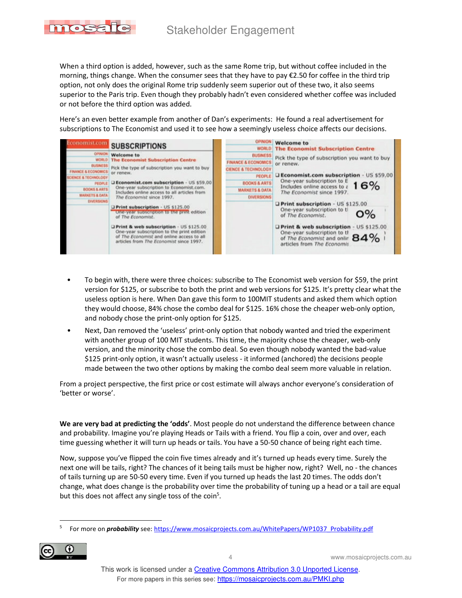

When a third option is added, however, such as the same Rome trip, but without coffee included in the morning, things change. When the consumer sees that they have to pay €2.50 for coffee in the third trip option, not only does the original Rome trip suddenly seem superior out of these two, it also seems superior to the Paris trip. Even though they probably hadn't even considered whether coffee was included or not before the third option was added.

Here's an even better example from another of Dan's experiments: He found a real advertisement for subscriptions to The Economist and used it to see how a seemingly useless choice affects our decisions.



- To begin with, there were three choices: subscribe to The Economist web version for \$59, the print version for \$125, or subscribe to both the print and web versions for \$125. It's pretty clear what the useless option is here. When Dan gave this form to 100MIT students and asked them which option they would choose, 84% chose the combo deal for \$125. 16% chose the cheaper web-only option, and nobody chose the print-only option for \$125.
- Next, Dan removed the 'useless' print-only option that nobody wanted and tried the experiment with another group of 100 MIT students. This time, the majority chose the cheaper, web-only version, and the minority chose the combo deal. So even though nobody wanted the bad-value \$125 print-only option, it wasn't actually useless - it informed (anchored) the decisions people made between the two other options by making the combo deal seem more valuable in relation.

From a project perspective, the first price or cost estimate will always anchor everyone's consideration of 'better or worse'.

**We are very bad at predicting the 'odds'**. Most people do not understand the difference between chance and probability. Imagine you're playing Heads or Tails with a friend. You flip a coin, over and over, each time guessing whether it will turn up heads or tails. You have a 50-50 chance of being right each time.

Now, suppose you've flipped the coin five times already and it's turned up heads every time. Surely the next one will be tails, right? The chances of it being tails must be higher now, right? Well, no - the chances of tails turning up are 50-50 every time. Even if you turned up heads the last 20 times. The odds don't change, what does change is the probability over time the probability of tuning up a head or a tail are equal but this does not affect any single toss of the coin<sup>5</sup>.

<sup>5</sup> For more on *probability* see: https://www.mosaicprojects.com.au/WhitePapers/WP1037\_Probability.pdf

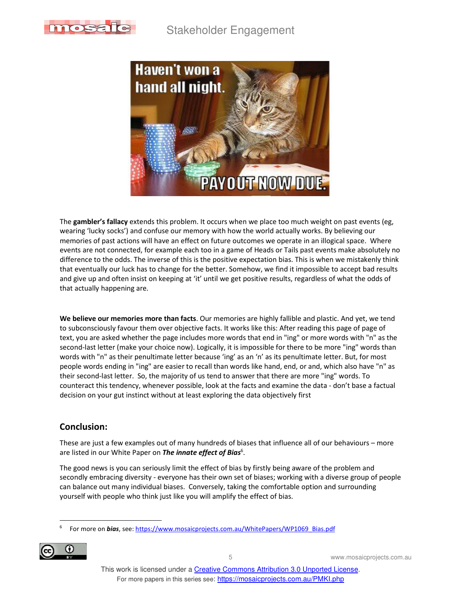



The **gambler's fallacy** extends this problem. It occurs when we place too much weight on past events (eg, wearing 'lucky socks') and confuse our memory with how the world actually works. By believing our memories of past actions will have an effect on future outcomes we operate in an illogical space. Where events are not connected, for example each too in a game of Heads or Tails past events make absolutely no difference to the odds. The inverse of this is the positive expectation bias. This is when we mistakenly think that eventually our luck has to change for the better. Somehow, we find it impossible to accept bad results and give up and often insist on keeping at 'it' until we get positive results, regardless of what the odds of that actually happening are.

**We believe our memories more than facts**. Our memories are highly fallible and plastic. And yet, we tend to subconsciously favour them over objective facts. It works like this: After reading this page of page of text, you are asked whether the page includes more words that end in "ing" or more words with "n" as the second-last letter (make your choice now). Logically, it is impossible for there to be more "ing" words than words with "n" as their penultimate letter because 'ing' as an 'n' as its penultimate letter. But, for most people words ending in "ing" are easier to recall than words like hand, end, or and, which also have "n" as their second-last letter. So, the majority of us tend to answer that there are more "ing" words. To counteract this tendency, whenever possible, look at the facts and examine the data - don't base a factual decision on your gut instinct without at least exploring the data objectively first

#### **Conclusion:**

These are just a few examples out of many hundreds of biases that influence all of our behaviours – more are listed in our White Paper on *The innate effect of Bias*<sup>6</sup>.

The good news is you can seriously limit the effect of bias by firstly being aware of the problem and secondly embracing diversity - everyone has their own set of biases; working with a diverse group of people can balance out many individual biases. Conversely, taking the comfortable option and surrounding yourself with people who think just like you will amplify the effect of bias.

<sup>6</sup> For more on *bias*, see: https://www.mosaicprojects.com.au/WhitePapers/WP1069\_Bias.pdf